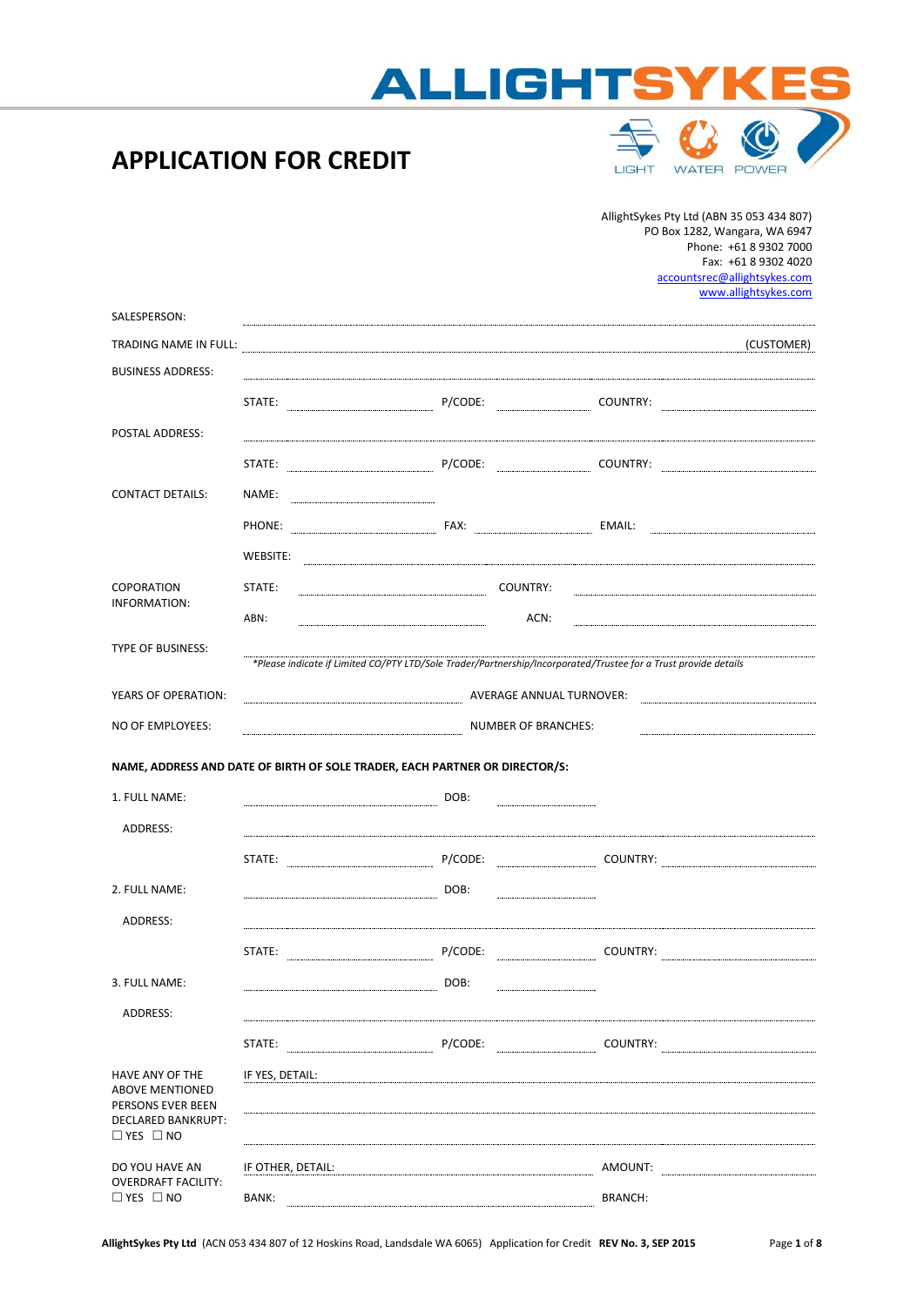

| LIGHT | WATER POWER |  |
|-------|-------------|--|

|                                                                                                              |                            |                                                                             | AllightSykes Pty Ltd (ABN 35 053 434 807)<br>PO Box 1282, Wangara, WA 6947<br>Phone: +61 8 9302 7000<br>Fax: +61 8 9302 4020<br>accountsrec@allightsykes.com<br>www.allightsykes.com                                                                                                                                                                          |
|--------------------------------------------------------------------------------------------------------------|----------------------------|-----------------------------------------------------------------------------|---------------------------------------------------------------------------------------------------------------------------------------------------------------------------------------------------------------------------------------------------------------------------------------------------------------------------------------------------------------|
| SALESPERSON:                                                                                                 |                            |                                                                             |                                                                                                                                                                                                                                                                                                                                                               |
|                                                                                                              |                            |                                                                             | (CUSTOMER)<br>TRADING NAME IN FULL: <b>With the Commission of the Commission Commission Commission Commission</b>                                                                                                                                                                                                                                             |
| <b>BUSINESS ADDRESS:</b>                                                                                     |                            |                                                                             |                                                                                                                                                                                                                                                                                                                                                               |
|                                                                                                              | STATE:                     | P/CODE:<br>$\frac{1}{2}$                                                    |                                                                                                                                                                                                                                                                                                                                                               |
| POSTAL ADDRESS:                                                                                              |                            |                                                                             |                                                                                                                                                                                                                                                                                                                                                               |
|                                                                                                              |                            |                                                                             |                                                                                                                                                                                                                                                                                                                                                               |
| <b>CONTACT DETAILS:</b>                                                                                      | NAME:                      |                                                                             |                                                                                                                                                                                                                                                                                                                                                               |
|                                                                                                              |                            |                                                                             |                                                                                                                                                                                                                                                                                                                                                               |
|                                                                                                              |                            |                                                                             |                                                                                                                                                                                                                                                                                                                                                               |
|                                                                                                              | WEBSITE:                   |                                                                             |                                                                                                                                                                                                                                                                                                                                                               |
| COPORATION<br>INFORMATION:                                                                                   | STATE:                     | COUNTRY:                                                                    |                                                                                                                                                                                                                                                                                                                                                               |
|                                                                                                              | ABN:                       | ACN:                                                                        |                                                                                                                                                                                                                                                                                                                                                               |
| TYPE OF BUSINESS:                                                                                            |                            |                                                                             | *Please indicate if Limited CO/PTY LTD/Sole Trader/Partnership/Incorporated/Trustee for a Trust provide details                                                                                                                                                                                                                                               |
| YEARS OF OPERATION:                                                                                          |                            |                                                                             |                                                                                                                                                                                                                                                                                                                                                               |
|                                                                                                              |                            | AVERAGE ANNUAL TURNOVER:                                                    |                                                                                                                                                                                                                                                                                                                                                               |
| NO OF EMPLOYEES:                                                                                             | <b>NUMBER OF BRANCHES:</b> |                                                                             |                                                                                                                                                                                                                                                                                                                                                               |
|                                                                                                              |                            | NAME, ADDRESS AND DATE OF BIRTH OF SOLE TRADER, EACH PARTNER OR DIRECTOR/S: |                                                                                                                                                                                                                                                                                                                                                               |
| 1. FULL NAME:                                                                                                |                            | DOB:                                                                        |                                                                                                                                                                                                                                                                                                                                                               |
| ADDRESS:                                                                                                     |                            |                                                                             |                                                                                                                                                                                                                                                                                                                                                               |
|                                                                                                              | STATE:                     | P/CODE:                                                                     | COUNTRY: WELL ASSESSED TO A RESERVE THE RESERVE TO A RESERVE THE RESERVE TO A RESERVE THE RESERVE THAT THE RESERVE THAT THE RESERVE THAT THE RESERVE THAT THE RESERVE THAT THE RESERVE THAT THE RESERVE THAT THE RESERVE THAT                                                                                                                                 |
| 2. FULL NAME:                                                                                                |                            | DOB:                                                                        |                                                                                                                                                                                                                                                                                                                                                               |
| ADDRESS:                                                                                                     |                            |                                                                             |                                                                                                                                                                                                                                                                                                                                                               |
|                                                                                                              | STATE:                     | P/CODE:                                                                     | COUNTRY:                                                                                                                                                                                                                                                                                                                                                      |
|                                                                                                              |                            |                                                                             |                                                                                                                                                                                                                                                                                                                                                               |
| 3. FULL NAME:                                                                                                |                            | DOB:                                                                        | $\mathcal{L} = \{1, 2, \ldots, 2, \ldots, 2, \ldots, 2, \ldots, 2, \ldots, 2, \ldots, 2, \ldots, 2, \ldots, 2, \ldots, 2, \ldots, 2, \ldots, 2, \ldots, 2, \ldots, 2, \ldots, 2, \ldots, 2, \ldots, 2, \ldots, 2, \ldots, 2, \ldots, 2, \ldots, 2, \ldots, 2, \ldots, 2, \ldots, 2, \ldots, 2, \ldots, 2, \ldots, 2, \ldots, 2, \ldots, 2, \ldots, 2, \ldots$ |
| ADDRESS:                                                                                                     |                            |                                                                             |                                                                                                                                                                                                                                                                                                                                                               |
|                                                                                                              | STATE:                     |                                                                             | COUNTRY: WELL AND THE RESERVE THE RESERVE THE RESERVE THE RESERVE THE RESERVE THE RESERVE THE RESERVE THAT THE RESERVE THE RESERVE THAT THE RESERVE THAT THE RESERVE THAT THE RESERVE THAT THE RESERVE THAT THE RESERVE THAT T                                                                                                                                |
| HAVE ANY OF THE<br><b>ABOVE MENTIONED</b><br>PERSONS EVER BEEN<br>DECLARED BANKRUPT:<br>$\Box$ YES $\Box$ NO | IF YES, DETAIL:            |                                                                             |                                                                                                                                                                                                                                                                                                                                                               |
| DO YOU HAVE AN                                                                                               | IF OTHER, DETAIL:          |                                                                             | AMOUNT:                                                                                                                                                                                                                                                                                                                                                       |
| <b>OVERDRAFT FACILITY:</b><br>$\Box$ YES $\Box$ NO                                                           | BANK:                      |                                                                             | <b>BRANCH:</b>                                                                                                                                                                                                                                                                                                                                                |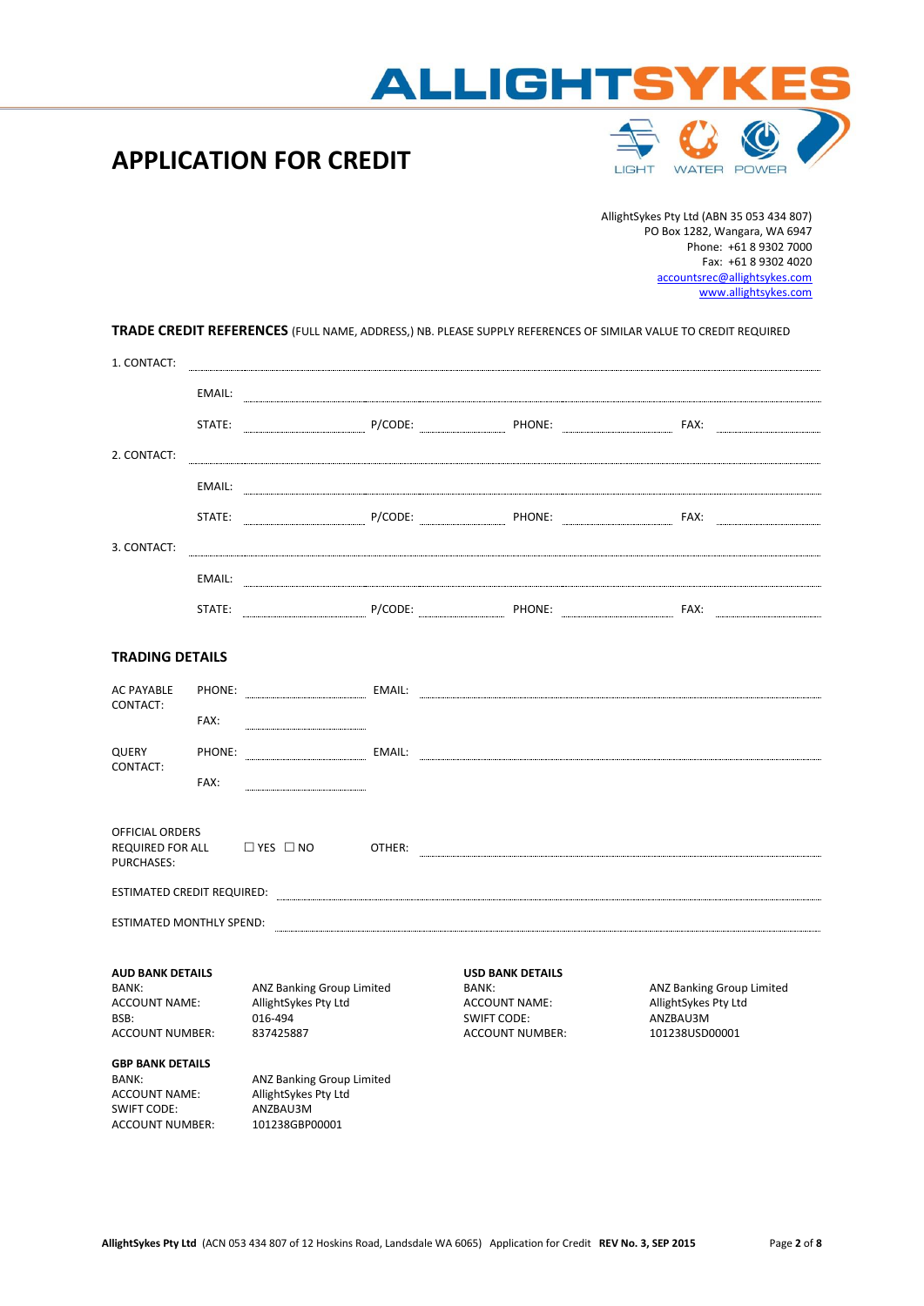



|                                                                                                          |      |                                                                                 |                                                                                                          | AllightSykes Pty Ltd (ABN 35 053 434 807)<br>PO Box 1282, Wangara, WA 6947<br>Phone: +61 8 9302 7000<br>Fax: +61 8 9302 4020<br>accountsrec@allightsykes.com<br>www.allightsykes.com                                                                                                                                                                                                                    |
|----------------------------------------------------------------------------------------------------------|------|---------------------------------------------------------------------------------|----------------------------------------------------------------------------------------------------------|---------------------------------------------------------------------------------------------------------------------------------------------------------------------------------------------------------------------------------------------------------------------------------------------------------------------------------------------------------------------------------------------------------|
|                                                                                                          |      |                                                                                 |                                                                                                          | TRADE CREDIT REFERENCES (FULL NAME, ADDRESS,) NB. PLEASE SUPPLY REFERENCES OF SIMILAR VALUE TO CREDIT REQUIRED                                                                                                                                                                                                                                                                                          |
| 1. CONTACT:                                                                                              |      |                                                                                 |                                                                                                          |                                                                                                                                                                                                                                                                                                                                                                                                         |
|                                                                                                          |      |                                                                                 |                                                                                                          |                                                                                                                                                                                                                                                                                                                                                                                                         |
|                                                                                                          |      |                                                                                 |                                                                                                          | STATE: P/CODE: PHONE: FAX:                                                                                                                                                                                                                                                                                                                                                                              |
| 2. CONTACT:                                                                                              |      |                                                                                 |                                                                                                          |                                                                                                                                                                                                                                                                                                                                                                                                         |
|                                                                                                          |      |                                                                                 |                                                                                                          |                                                                                                                                                                                                                                                                                                                                                                                                         |
|                                                                                                          |      |                                                                                 |                                                                                                          |                                                                                                                                                                                                                                                                                                                                                                                                         |
| 3. CONTACT:                                                                                              |      |                                                                                 |                                                                                                          |                                                                                                                                                                                                                                                                                                                                                                                                         |
|                                                                                                          |      |                                                                                 |                                                                                                          |                                                                                                                                                                                                                                                                                                                                                                                                         |
|                                                                                                          |      |                                                                                 |                                                                                                          |                                                                                                                                                                                                                                                                                                                                                                                                         |
| <b>TRADING DETAILS</b>                                                                                   |      |                                                                                 |                                                                                                          |                                                                                                                                                                                                                                                                                                                                                                                                         |
| <b>AC PAYABLE</b>                                                                                        |      |                                                                                 |                                                                                                          | PHONE: EMAIL: EMAIL: EMAIL: EMAIL: EMAIL: EMAIL: EMAIL: EMAIL: EMAIL: EMAIL: EMAIL: EMAIL: EMAIL: EMAIL: EMAIL: EMAIL: EMAIL: EMAIL: EMAIL: EMAIL: EMAIL: EMAIL: EMAIL: EMAIL: EMAIL: EMAIL: EMAIL: EMAIL: EMAIL: EMAIL: EMAIL                                                                                                                                                                          |
| CONTACT:                                                                                                 | FAX: |                                                                                 |                                                                                                          |                                                                                                                                                                                                                                                                                                                                                                                                         |
| <b>QUERY</b>                                                                                             |      |                                                                                 |                                                                                                          | PHONE: EMAIL: EMAIL: EMAIL: EMAIL: EMAIL: EMAIL: EMAIL: EMAIL: EMAIL: EMAIL: EMAIL: EMAIL: EMAIL: EMAIL: EMAIL: EMAIL: EMAIL: EMAIL: EMAIL: EMAIL: EMAIL: EMAIL: EMAIL: EMAIL: EMAIL: EMAIL: EMAIL: EMAIL: EMAIL: EMAIL: EMAIL                                                                                                                                                                          |
| CONTACT:                                                                                                 | FAX: |                                                                                 |                                                                                                          |                                                                                                                                                                                                                                                                                                                                                                                                         |
| <b>OFFICIAL ORDERS</b><br>REQUIRED FOR ALL<br>PURCHASES:                                                 |      | $\Box$ YES $\Box$ NO                                                            |                                                                                                          | $\textbf{OTHER:} \begin{minipage}[c]{0.5\textwidth} \centering \begin{tabular}{p{0.5cm}p{0.5cm}p{0.5cm}p{0.5cm} \end{tabular} \end{minipage} } \textbf{OTP:} \begin{minipage}[c]{0.5\textwidth} \centering \begin{tabular}{p{0.5cm}p{0.5cm}p{0.5cm}p{0.5cm}p{0.5cm} \end{tabular} \end{minipage} \end{minipage} \caption{CFT: \textit{CFT:} \begin{tabular}{p{0.5cm}p{0.5cm}p{0.5cm}p{0.5cm}p{0.5cm}p{$ |
| <b>ESTIMATED CREDIT REQUIRED:</b>                                                                        |      |                                                                                 |                                                                                                          |                                                                                                                                                                                                                                                                                                                                                                                                         |
| <b>ESTIMATED MONTHLY SPEND:</b>                                                                          |      |                                                                                 |                                                                                                          |                                                                                                                                                                                                                                                                                                                                                                                                         |
| <b>AUD BANK DETAILS</b><br>BANK:<br><b>ACCOUNT NAME:</b><br>BSB:<br><b>ACCOUNT NUMBER:</b>               |      | ANZ Banking Group Limited<br>AllightSykes Pty Ltd<br>016-494<br>837425887       | <b>USD BANK DETAILS</b><br>BANK:<br><b>ACCOUNT NAME:</b><br><b>SWIFT CODE:</b><br><b>ACCOUNT NUMBER:</b> | <b>ANZ Banking Group Limited</b><br>AllightSykes Pty Ltd<br>ANZBAU3M<br>101238USD00001                                                                                                                                                                                                                                                                                                                  |
| <b>GBP BANK DETAILS</b><br>BANK:<br><b>ACCOUNT NAME:</b><br><b>SWIFT CODE:</b><br><b>ACCOUNT NUMBER:</b> |      | ANZ Banking Group Limited<br>AllightSykes Pty Ltd<br>ANZBAU3M<br>101238GBP00001 |                                                                                                          |                                                                                                                                                                                                                                                                                                                                                                                                         |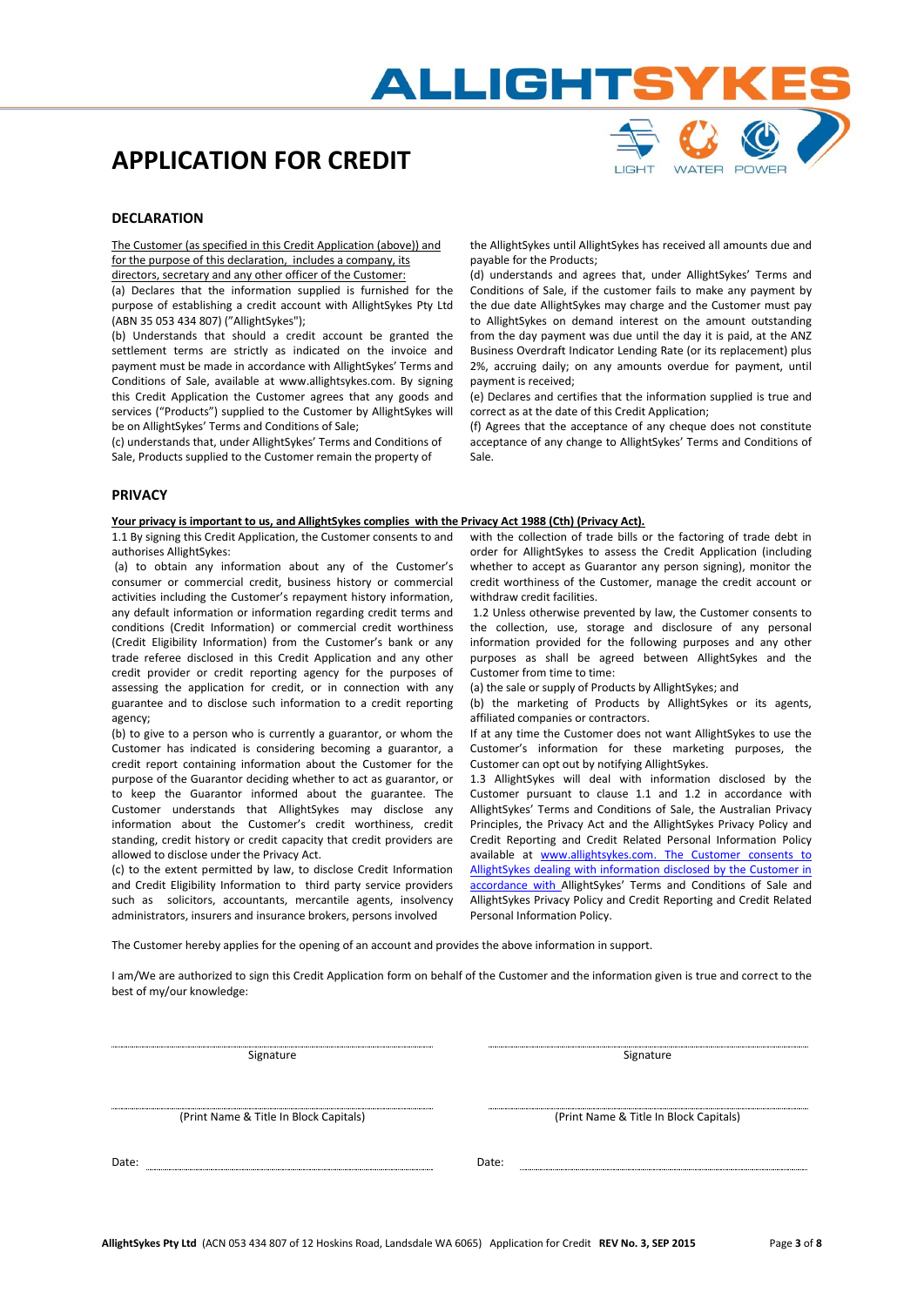

The Customer (as specified in this Credit Application (above)) and for the purpose of this declaration, includes a company, its

directors, secretary and any other officer of the Customer:

(a) Declares that the information supplied is furnished for the purpose of establishing a credit account with AllightSykes Pty Ltd (ABN 35 053 434 807) ("AllightSykes");

(b) Understands that should a credit account be granted the settlement terms are strictly as indicated on the invoice and payment must be made in accordance with AllightSykes' Terms and Conditions of Sale, available at www.allightsykes.com. By signing this Credit Application the Customer agrees that any goods and services ("Products") supplied to the Customer by AllightSykes will be on AllightSykes' Terms and Conditions of Sale;

(c) understands that, under AllightSykes' Terms and Conditions of Sale, Products supplied to the Customer remain the property of

#### **PRIVACY**

**Your privacy is important to us, and AllightSykes complies with the Privacy Act 1988 (Cth) (Privacy Act).** 

1.1 By signing this Credit Application, the Customer consents to and authorises AllightSykes:

(a) to obtain any information about any of the Customer's consumer or commercial credit, business history or commercial activities including the Customer's repayment history information, any default information or information regarding credit terms and conditions (Credit Information) or commercial credit worthiness (Credit Eligibility Information) from the Customer's bank or any trade referee disclosed in this Credit Application and any other credit provider or credit reporting agency for the purposes of assessing the application for credit, or in connection with any guarantee and to disclose such information to a credit reporting agency;

(b) to give to a person who is currently a guarantor, or whom the Customer has indicated is considering becoming a guarantor, a credit report containing information about the Customer for the purpose of the Guarantor deciding whether to act as guarantor, or to keep the Guarantor informed about the guarantee. The Customer understands that AllightSykes may disclose any information about the Customer's credit worthiness, credit standing, credit history or credit capacity that credit providers are allowed to disclose under the Privacy Act.

(c) to the extent permitted by law, to disclose Credit Information and Credit Eligibility Information to third party service providers such as solicitors, accountants, mercantile agents, insolvency administrators, insurers and insurance brokers, persons involved

the AllightSykes until AllightSykes has received all amounts due and payable for the Products;

**ALLIGHTS** 

(d) understands and agrees that, under AllightSykes' Terms and Conditions of Sale, if the customer fails to make any payment by the due date AllightSykes may charge and the Customer must pay to AllightSykes on demand interest on the amount outstanding from the day payment was due until the day it is paid, at the ANZ Business Overdraft Indicator Lending Rate (or its replacement) plus 2%, accruing daily; on any amounts overdue for payment, until payment is received;

(e) Declares and certifies that the information supplied is true and correct as at the date of this Credit Application;

(f) Agrees that the acceptance of any cheque does not constitute acceptance of any change to AllightSykes' Terms and Conditions of Sale.

with the collection of trade bills or the factoring of trade debt in order for AllightSykes to assess the Credit Application (including whether to accept as Guarantor any person signing), monitor the credit worthiness of the Customer, manage the credit account or withdraw credit facilities.

1.2 Unless otherwise prevented by law, the Customer consents to the collection, use, storage and disclosure of any personal information provided for the following purposes and any other purposes as shall be agreed between AllightSykes and the Customer from time to time:

(a) the sale or supply of Products by AllightSykes; and

(b) the marketing of Products by AllightSykes or its agents, affiliated companies or contractors.

If at any time the Customer does not want AllightSykes to use the Customer's information for these marketing purposes, the Customer can opt out by notifying AllightSykes.

1.3 AllightSykes will deal with information disclosed by the Customer pursuant to clause 1.1 and 1.2 in accordance with AllightSykes' Terms and Conditions of Sale, the Australian Privacy Principles, the Privacy Act and the AllightSykes Privacy Policy and Credit Reporting and Credit Related Personal Information Policy available at [www.allightsykes.com.](http://www.allightsykes.com/) The Customer consents to AllightSykes dealing with information disclosed by the Customer in accordance with AllightSykes' Terms and Conditions of Sale and AllightSykes Privacy Policy and Credit Reporting and Credit Related Personal Information Policy.

The Customer hereby applies for the opening of an account and provides the above information in support.

I am/We are authorized to sign this Credit Application form on behalf of the Customer and the information given is true and correct to the best of my/our knowledge:

Signature Signature Signature Signature Signature Signature (Print Name & Title In Block Capitals) (Print Name & Title In Block Capitals) Date: Date: Date: Date: Date: Date: Date: Date: Date: Date: Date: Date: Date: Date: Date: Date: Date: Date: Date: Date: Date: Date: Date: Date: Date: Date: Date: Date: Date: Date: Date: Date: Date: Date: Date: Date: Date:

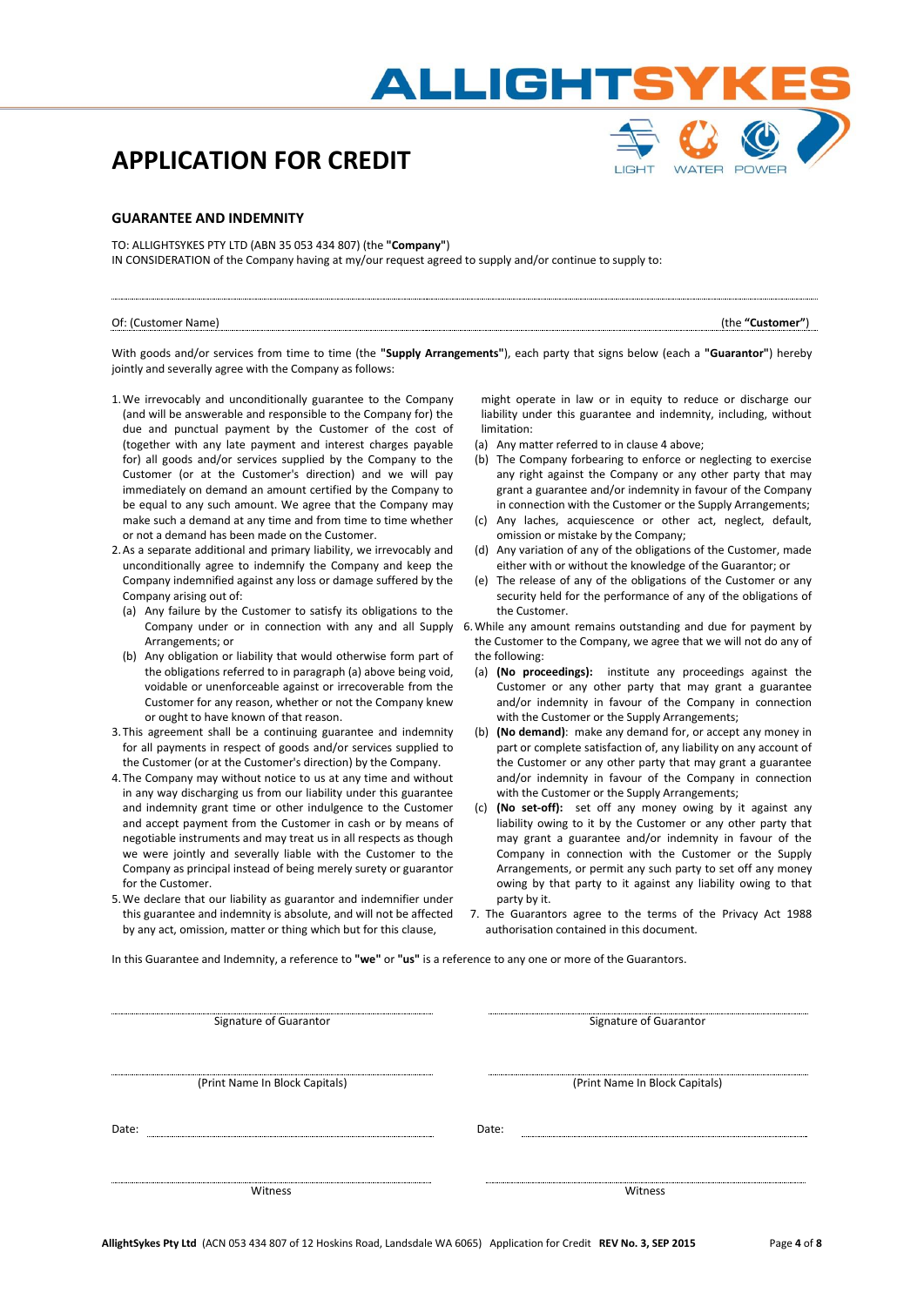



#### **GUARANTEE AND INDEMNITY**

TO: ALLIGHTSYKES PTY LTD (ABN 35 053 434 807) (the **"Company"**) IN CONSIDERATION of the Company having at my/our request agreed to supply and/or continue to supply to:

| Of: (Customer Name)<br> |  | (the "Customer" |
|-------------------------|--|-----------------|

With goods and/or services from time to time (the **"Supply Arrangements"**), each party that signs below (each a **"Guarantor"**) hereby jointly and severally agree with the Company as follows:

- 1.We irrevocably and unconditionally guarantee to the Company (and will be answerable and responsible to the Company for) the due and punctual payment by the Customer of the cost of (together with any late payment and interest charges payable for) all goods and/or services supplied by the Company to the Customer (or at the Customer's direction) and we will pay immediately on demand an amount certified by the Company to be equal to any such amount. We agree that the Company may make such a demand at any time and from time to time whether or not a demand has been made on the Customer.
- 2.As a separate additional and primary liability, we irrevocably and unconditionally agree to indemnify the Company and keep the Company indemnified against any loss or damage suffered by the Company arising out of:
	- (a) Any failure by the Customer to satisfy its obligations to the Company under or in connection with any and all Supply Arrangements; or
	- (b) Any obligation or liability that would otherwise form part of the obligations referred to in paragraph (a) above being void, voidable or unenforceable against or irrecoverable from the Customer for any reason, whether or not the Company knew or ought to have known of that reason.
- 3.This agreement shall be a continuing guarantee and indemnity for all payments in respect of goods and/or services supplied to the Customer (or at the Customer's direction) by the Company.
- 4.The Company may without notice to us at any time and without in any way discharging us from our liability under this guarantee and indemnity grant time or other indulgence to the Customer and accept payment from the Customer in cash or by means of negotiable instruments and may treat us in all respects as though we were jointly and severally liable with the Customer to the Company as principal instead of being merely surety or guarantor for the Customer.
- 5.We declare that our liability as guarantor and indemnifier under this guarantee and indemnity is absolute, and will not be affected by any act, omission, matter or thing which but for this clause,

might operate in law or in equity to reduce or discharge our liability under this guarantee and indemnity, including, without limitation:

- (a) Any matter referred to in clause 4 above;
- (b) The Company forbearing to enforce or neglecting to exercise any right against the Company or any other party that may grant a guarantee and/or indemnity in favour of the Company in connection with the Customer or the Supply Arrangements;
- (c) Any laches, acquiescence or other act, neglect, default, omission or mistake by the Company;
- (d) Any variation of any of the obligations of the Customer, made either with or without the knowledge of the Guarantor; or
- (e) The release of any of the obligations of the Customer or any security held for the performance of any of the obligations of the Customer.
- 6.While any amount remains outstanding and due for payment by the Customer to the Company, we agree that we will not do any of the following:
	- (a) **(No proceedings):** institute any proceedings against the Customer or any other party that may grant a guarantee and/or indemnity in favour of the Company in connection with the Customer or the Supply Arrangements;
	- (b) **(No demand)**: make any demand for, or accept any money in part or complete satisfaction of, any liability on any account of the Customer or any other party that may grant a guarantee and/or indemnity in favour of the Company in connection with the Customer or the Supply Arrangements:
	- (c) **(No set-off):** set off any money owing by it against any liability owing to it by the Customer or any other party that may grant a guarantee and/or indemnity in favour of the Company in connection with the Customer or the Supply Arrangements, or permit any such party to set off any money owing by that party to it against any liability owing to that party by it.
- 7. The Guarantors agree to the terms of the Privacy Act 1988 authorisation contained in this document.

In this Guarantee and Indemnity, a reference to **"we"** or **"us"** is a reference to any one or more of the Guarantors.

| Signature of Guarantor         | Signature of Guarantor         |
|--------------------------------|--------------------------------|
| (Print Name In Block Capitals) | (Print Name In Block Capitals) |
| Date:                          | Date:<br>                      |
| Witness                        | Witness                        |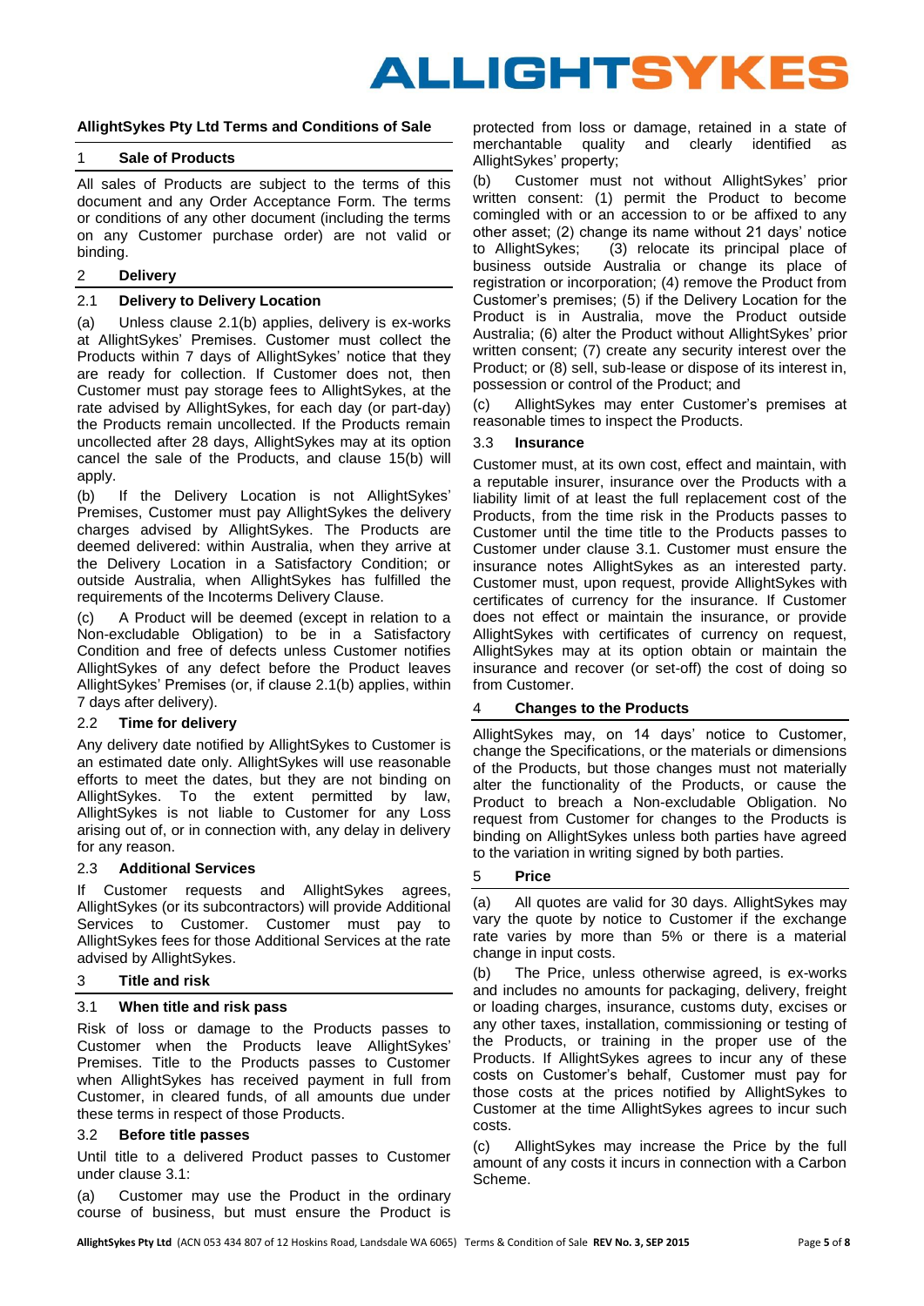# ALLIGHTSYKES

# **AllightSykes Pty Ltd Terms and Conditions of Sale**

#### 1 **Sale of Products**

All sales of Products are subject to the terms of this document and any Order Acceptance Form. The terms or conditions of any other document (including the terms on any Customer purchase order) are not valid or binding.

#### 2 **Delivery**

#### <span id="page-4-0"></span>2.1 **Delivery to Delivery Location**

(a) Unless clause [2.1\(b\)](#page-4-0) applies, delivery is ex-works at AllightSykes' Premises. Customer must collect the Products within 7 days of AllightSykes' notice that they are ready for collection. If Customer does not, then Customer must pay storage fees to AllightSykes, at the rate advised by AllightSykes, for each day (or part-day) the Products remain uncollected. If the Products remain uncollected after 28 days, AllightSykes may at its option cancel the sale of the Products, and clause [15\(b\)](#page-7-0) will apply.

(b) If the Delivery Location is not AllightSykes' Premises, Customer must pay AllightSykes the delivery charges advised by AllightSykes. The Products are deemed delivered: within Australia, when they arrive at the Delivery Location in a Satisfactory Condition; or outside Australia, when AllightSykes has fulfilled the requirements of the Incoterms Delivery Clause.

(c) A Product will be deemed (except in relation to a Non-excludable Obligation) to be in a Satisfactory Condition and free of defects unless Customer notifies AllightSykes of any defect before the Product leaves AllightSykes' Premises (or, if clause [2.1\(b\)](#page-4-0) applies, within 7 days after delivery).

#### 2.2 **Time for delivery**

Any delivery date notified by AllightSykes to Customer is an estimated date only. AllightSykes will use reasonable efforts to meet the dates, but they are not binding on AllightSykes. To the extent permitted by law, AllightSykes is not liable to Customer for any Loss arising out of, or in connection with, any delay in delivery for any reason.

#### 2.3 **Additional Services**

If Customer requests and AllightSykes agrees, AllightSykes (or its subcontractors) will provide Additional Services to Customer. Customer must pay to AllightSykes fees for those Additional Services at the rate advised by AllightSykes.

# 3 **Title and risk**

## <span id="page-4-1"></span>3.1 **When title and risk pass**

Risk of loss or damage to the Products passes to Customer when the Products leave AllightSykes' Premises. Title to the Products passes to Customer when AllightSykes has received payment in full from Customer, in cleared funds, of all amounts due under these terms in respect of those Products.

#### <span id="page-4-3"></span>3.2 **Before title passes**

Until title to a delivered Product passes to Customer under claus[e 3.1:](#page-4-1)

(a) Customer may use the Product in the ordinary course of business, but must ensure the Product is

protected from loss or damage, retained in a state of merchantable quality and clearly identified as AllightSykes' property;

(b) Customer must not without AllightSykes' prior written consent: (1) permit the Product to become comingled with or an accession to or be affixed to any other asset; (2) change its name without 21 days' notice to AllightSykes; (3) relocate its principal place of business outside Australia or change its place of registration or incorporation; (4) remove the Product from Customer's premises; (5) if the Delivery Location for the Product is in Australia, move the Product outside Australia; (6) alter the Product without AllightSykes' prior written consent; (7) create any security interest over the Product; or (8) sell, sub-lease or dispose of its interest in, possession or control of the Product; and

(c) AllightSykes may enter Customer's premises at reasonable times to inspect the Products.

#### 3.3 **Insurance**

Customer must, at its own cost, effect and maintain, with a reputable insurer, insurance over the Products with a liability limit of at least the full replacement cost of the Products, from the time risk in the Products passes to Customer until the time title to the Products passes to Customer under clause [3.1.](#page-4-1) Customer must ensure the insurance notes AllightSykes as an interested party. Customer must, upon request, provide AllightSykes with certificates of currency for the insurance. If Customer does not effect or maintain the insurance, or provide AllightSykes with certificates of currency on request, AllightSykes may at its option obtain or maintain the insurance and recover (or set-off) the cost of doing so from Customer.

#### 4 **Changes to the Products**

AllightSykes may, on 14 days' notice to Customer, change the Specifications, or the materials or dimensions of the Products, but those changes must not materially alter the functionality of the Products, or cause the Product to breach a Non-excludable Obligation. No request from Customer for changes to the Products is binding on AllightSykes unless both parties have agreed to the variation in writing signed by both parties.

#### 5 **Price**

(a) All quotes are valid for 30 days. AllightSykes may vary the quote by notice to Customer if the exchange rate varies by more than 5% or there is a material change in input costs.

<span id="page-4-2"></span>(b) The Price, unless otherwise agreed, is ex-works and includes no amounts for packaging, delivery, freight or loading charges, insurance, customs duty, excises or any other taxes, installation, commissioning or testing of the Products, or training in the proper use of the Products. If AllightSykes agrees to incur any of these costs on Customer's behalf, Customer must pay for those costs at the prices notified by AllightSykes to Customer at the time AllightSykes agrees to incur such costs.

(c) AllightSykes may increase the Price by the full amount of any costs it incurs in connection with a Carbon Scheme.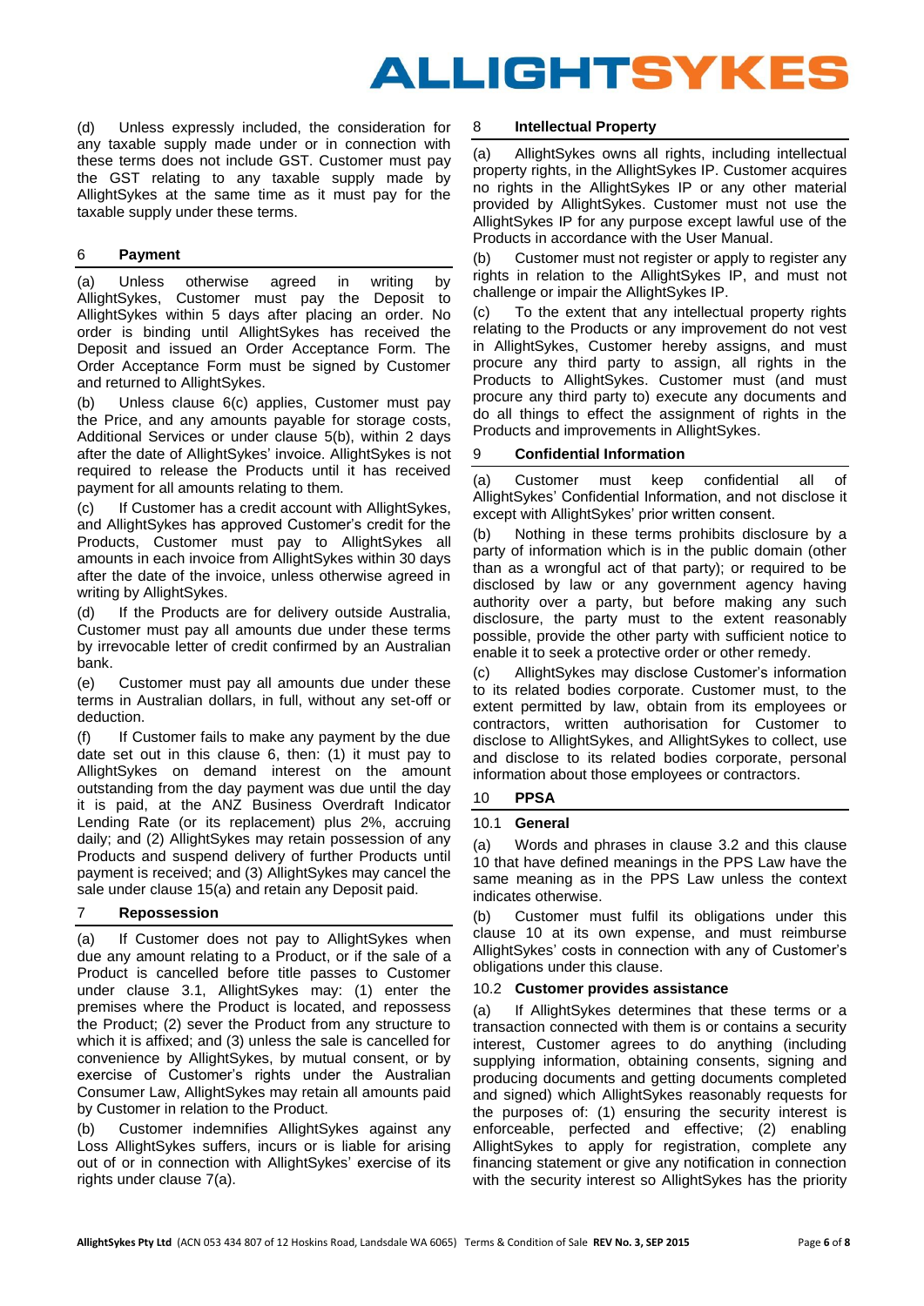

(d) Unless expressly included, the consideration for any taxable supply made under or in connection with these terms does not include GST. Customer must pay the GST relating to any taxable supply made by AllightSykes at the same time as it must pay for the taxable supply under these terms.

## <span id="page-5-0"></span>6 **Payment**

(a) Unless otherwise agreed in writing by AllightSykes, Customer must pay the Deposit to AllightSykes within 5 days after placing an order. No order is binding until AllightSykes has received the Deposit and issued an Order Acceptance Form. The Order Acceptance Form must be signed by Customer and returned to AllightSykes.

(b) Unless clause [6\(c\)](#page-5-0) applies, Customer must pay the Price, and any amounts payable for storage costs, Additional Services or under clause [5\(b\),](#page-4-2) within 2 days after the date of AllightSykes' invoice. AllightSykes is not required to release the Products until it has received payment for all amounts relating to them.

(c) If Customer has a credit account with AllightSykes, and AllightSykes has approved Customer's credit for the Products, Customer must pay to AllightSykes all amounts in each invoice from AllightSykes within 30 days after the date of the invoice, unless otherwise agreed in writing by AllightSykes.

(d) If the Products are for delivery outside Australia, Customer must pay all amounts due under these terms by irrevocable letter of credit confirmed by an Australian bank.

(e) Customer must pay all amounts due under these terms in Australian dollars, in full, without any set-off or deduction.

(f) If Customer fails to make any payment by the due date set out in this clause [6,](#page-5-0) then: (1) it must pay to AllightSykes on demand interest on the amount outstanding from the day payment was due until the day it is paid, at the ANZ Business Overdraft Indicator Lending Rate (or its replacement) plus 2%, accruing daily; and (2) AllightSykes may retain possession of any Products and suspend delivery of further Products until payment is received; and (3) AllightSykes may cancel the sale under claus[e 15\(a\)](#page-7-1) and retain any Deposit paid.

## <span id="page-5-1"></span>7 **Repossession**

(a) If Customer does not pay to AllightSykes when due any amount relating to a Product, or if the sale of a Product is cancelled before title passes to Customer under clause [3.1,](#page-4-1) AllightSykes may: (1) enter the premises where the Product is located, and repossess the Product; (2) sever the Product from any structure to which it is affixed; and (3) unless the sale is cancelled for convenience by AllightSykes, by mutual consent, or by exercise of Customer's rights under the Australian Consumer Law, AllightSykes may retain all amounts paid by Customer in relation to the Product.

(b) Customer indemnifies AllightSykes against any Loss AllightSykes suffers, incurs or is liable for arising out of or in connection with AllightSykes' exercise of its rights under claus[e 7\(a\).](#page-5-1)

#### 8 **Intellectual Property**

(a) AllightSykes owns all rights, including intellectual property rights, in the AllightSykes IP. Customer acquires no rights in the AllightSykes IP or any other material provided by AllightSykes. Customer must not use the AllightSykes IP for any purpose except lawful use of the Products in accordance with the User Manual.

(b) Customer must not register or apply to register any rights in relation to the AllightSykes IP, and must not challenge or impair the AllightSykes IP.

(c) To the extent that any intellectual property rights relating to the Products or any improvement do not vest in AllightSykes, Customer hereby assigns, and must procure any third party to assign, all rights in the Products to AllightSykes. Customer must (and must procure any third party to) execute any documents and do all things to effect the assignment of rights in the Products and improvements in AllightSykes.

## 9 **Confidential Information**

(a) Customer must keep confidential all of AllightSykes' Confidential Information, and not disclose it except with AllightSykes' prior written consent.

(b) Nothing in these terms prohibits disclosure by a party of information which is in the public domain (other than as a wrongful act of that party); or required to be disclosed by law or any government agency having authority over a party, but before making any such disclosure, the party must to the extent reasonably possible, provide the other party with sufficient notice to enable it to seek a protective order or other remedy.

(c) AllightSykes may disclose Customer's information to its related bodies corporate. Customer must, to the extent permitted by law, obtain from its employees or contractors, written authorisation for Customer to disclose to AllightSykes, and AllightSykes to collect, use and disclose to its related bodies corporate, personal information about those employees or contractors.

## <span id="page-5-2"></span>10 **PPSA**

## 10.1 **General**

(a) Words and phrases in clause [3.2](#page-4-3) and this clause [10](#page-5-2) that have defined meanings in the PPS Law have the same meaning as in the PPS Law unless the context indicates otherwise.

(b) Customer must fulfil its obligations under this clause [10](#page-5-2) at its own expense, and must reimburse AllightSykes' costs in connection with any of Customer's obligations under this clause.

## <span id="page-5-3"></span>10.2 **Customer provides assistance**

(a) If AllightSykes determines that these terms or a transaction connected with them is or contains a security interest, Customer agrees to do anything (including supplying information, obtaining consents, signing and producing documents and getting documents completed and signed) which AllightSykes reasonably requests for the purposes of: (1) ensuring the security interest is enforceable, perfected and effective; (2) enabling AllightSykes to apply for registration, complete any financing statement or give any notification in connection with the security interest so AllightSykes has the priority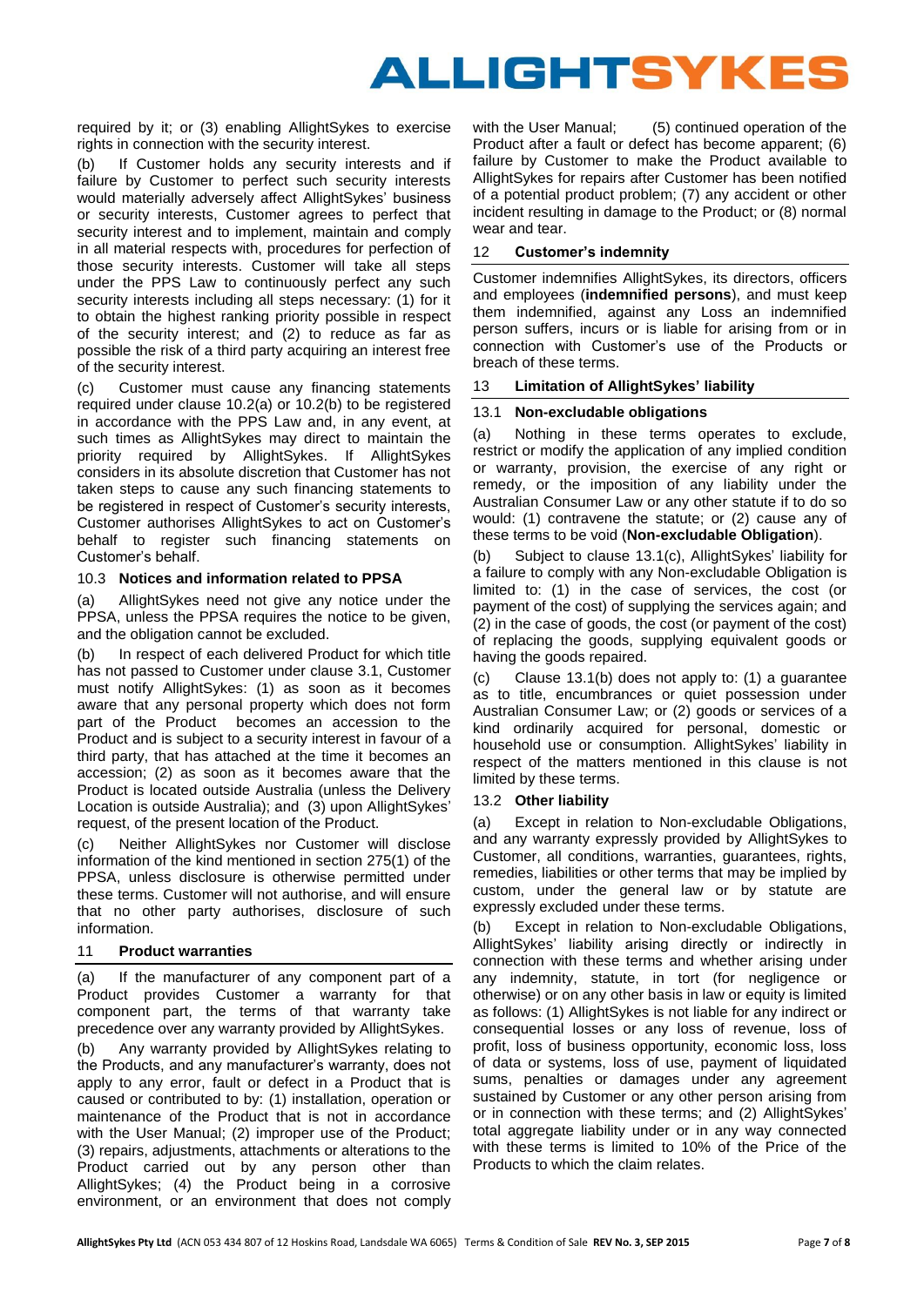

required by it; or (3) enabling AllightSykes to exercise rights in connection with the security interest.

(b) If Customer holds any security interests and if failure by Customer to perfect such security interests would materially adversely affect AllightSykes' business or security interests, Customer agrees to perfect that security interest and to implement, maintain and comply in all material respects with, procedures for perfection of those security interests. Customer will take all steps under the PPS Law to continuously perfect any such security interests including all steps necessary: (1) for it to obtain the highest ranking priority possible in respect of the security interest; and (2) to reduce as far as possible the risk of a third party acquiring an interest free of the security interest.

(c) Customer must cause any financing statements required under clause [10.2\(a\)](#page-5-3) or [10.2\(b\)](#page-5-3) to be registered in accordance with the PPS Law and, in any event, at such times as AllightSykes may direct to maintain the priority required by AllightSykes. If AllightSykes considers in its absolute discretion that Customer has not taken steps to cause any such financing statements to be registered in respect of Customer's security interests, Customer authorises AllightSykes to act on Customer's behalf to register such financing statements on Customer's behalf.

## 10.3 **Notices and information related to PPSA**

(a) AllightSykes need not give any notice under the PPSA, unless the PPSA requires the notice to be given, and the obligation cannot be excluded.

(b) In respect of each delivered Product for which title has not passed to Customer under clause [3.1,](#page-4-1) Customer must notify AllightSykes: (1) as soon as it becomes aware that any personal property which does not form part of the Product becomes an accession to the Product and is subject to a security interest in favour of a third party, that has attached at the time it becomes an accession; (2) as soon as it becomes aware that the Product is located outside Australia (unless the Delivery Location is outside Australia); and (3) upon AllightSykes' request, of the present location of the Product.

(c) Neither AllightSykes nor Customer will disclose information of the kind mentioned in section 275(1) of the PPSA, unless disclosure is otherwise permitted under these terms. Customer will not authorise, and will ensure that no other party authorises, disclosure of such information.

## 11 **Product warranties**

(a) If the manufacturer of any component part of a Product provides Customer a warranty for that component part, the terms of that warranty take precedence over any warranty provided by AllightSykes.

(b) Any warranty provided by AllightSykes relating to the Products, and any manufacturer's warranty, does not apply to any error, fault or defect in a Product that is caused or contributed to by: (1) installation, operation or maintenance of the Product that is not in accordance with the User Manual; (2) improper use of the Product; (3) repairs, adjustments, attachments or alterations to the Product carried out by any person other than AllightSykes; (4) the Product being in a corrosive environment, or an environment that does not comply

with the User Manual; (5) continued operation of the Product after a fault or defect has become apparent; (6) failure by Customer to make the Product available to AllightSykes for repairs after Customer has been notified of a potential product problem; (7) any accident or other incident resulting in damage to the Product; or (8) normal wear and tear.

# 12 **Customer's indemnity**

Customer indemnifies AllightSykes, its directors, officers and employees (**indemnified persons**), and must keep them indemnified, against any Loss an indemnified person suffers, incurs or is liable for arising from or in connection with Customer's use of the Products or breach of these terms.

## 13 **Limitation of AllightSykes' liability**

## <span id="page-6-0"></span>13.1 **Non-excludable obligations**

<span id="page-6-1"></span>(a) Nothing in these terms operates to exclude, restrict or modify the application of any implied condition or warranty, provision, the exercise of any right or remedy, or the imposition of any liability under the Australian Consumer Law or any other statute if to do so would: (1) contravene the statute; or (2) cause any of these terms to be void (**Non-excludable Obligation**).

(b) Subject to clause [13.1\(c\),](#page-6-0) AllightSykes' liability for a failure to comply with any Non-excludable Obligation is limited to: (1) in the case of services, the cost (or payment of the cost) of supplying the services again; and (2) in the case of goods, the cost (or payment of the cost) of replacing the goods, supplying equivalent goods or having the goods repaired.

Clause [13.1\(b\)](#page-6-0) does not apply to:  $(1)$  a guarantee as to title, encumbrances or quiet possession under Australian Consumer Law; or (2) goods or services of a kind ordinarily acquired for personal, domestic or household use or consumption. AllightSykes' liability in respect of the matters mentioned in this clause is not limited by these terms.

## 13.2 **Other liability**

(a) Except in relation to Non-excludable Obligations, and any warranty expressly provided by AllightSykes to Customer, all conditions, warranties, guarantees, rights, remedies, liabilities or other terms that may be implied by custom, under the general law or by statute are expressly excluded under these terms.

(b) Except in relation to Non-excludable Obligations, AllightSykes' liability arising directly or indirectly in connection with these terms and whether arising under any indemnity, statute, in tort (for negligence or otherwise) or on any other basis in law or equity is limited as follows: (1) AllightSykes is not liable for any indirect or consequential losses or any loss of revenue, loss of profit, loss of business opportunity, economic loss, loss of data or systems, loss of use, payment of liquidated sums, penalties or damages under any agreement sustained by Customer or any other person arising from or in connection with these terms; and (2) AllightSykes' total aggregate liability under or in any way connected with these terms is limited to 10% of the Price of the Products to which the claim relates.